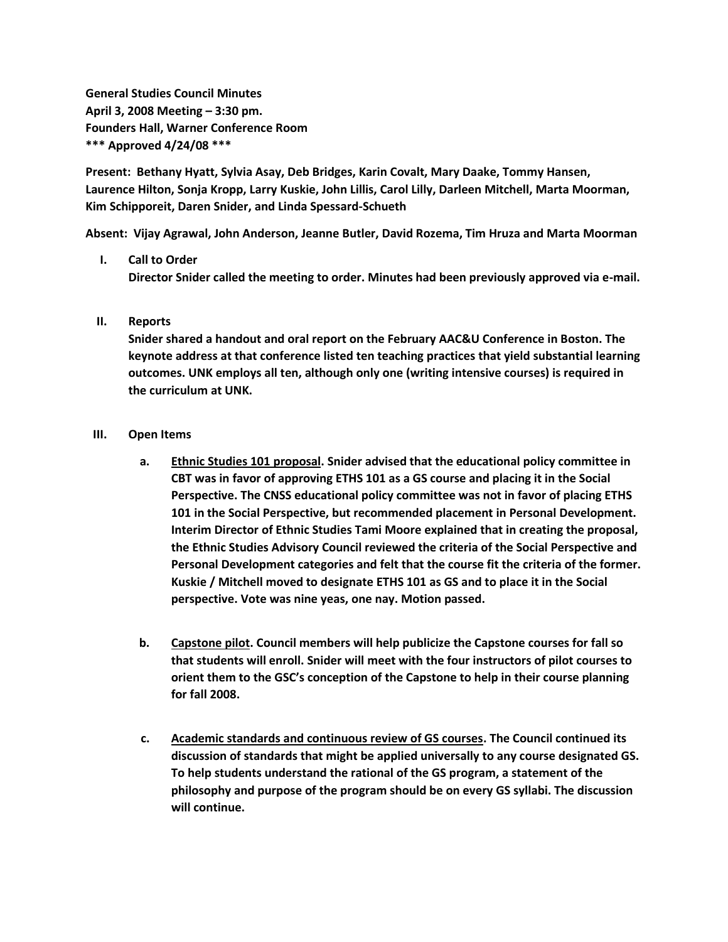**General Studies Council Minutes April 3, 2008 Meeting – 3:30 pm. Founders Hall, Warner Conference Room \*\*\* Approved 4/24/08 \*\*\***

**Present: Bethany Hyatt, Sylvia Asay, Deb Bridges, Karin Covalt, Mary Daake, Tommy Hansen, Laurence Hilton, Sonja Kropp, Larry Kuskie, John Lillis, Carol Lilly, Darleen Mitchell, Marta Moorman, Kim Schipporeit, Daren Snider, and Linda Spessard-Schueth**

**Absent: Vijay Agrawal, John Anderson, Jeanne Butler, David Rozema, Tim Hruza and Marta Moorman**

## **I. Call to Order**

**Director Snider called the meeting to order. Minutes had been previously approved via e-mail.**

## **II. Reports**

**Snider shared a handout and oral report on the February AAC&U Conference in Boston. The keynote address at that conference listed ten teaching practices that yield substantial learning outcomes. UNK employs all ten, although only one (writing intensive courses) is required in the curriculum at UNK.**

## **III. Open Items**

- **a. Ethnic Studies 101 proposal. Snider advised that the educational policy committee in CBT was in favor of approving ETHS 101 as a GS course and placing it in the Social Perspective. The CNSS educational policy committee was not in favor of placing ETHS 101 in the Social Perspective, but recommended placement in Personal Development. Interim Director of Ethnic Studies Tami Moore explained that in creating the proposal, the Ethnic Studies Advisory Council reviewed the criteria of the Social Perspective and Personal Development categories and felt that the course fit the criteria of the former. Kuskie / Mitchell moved to designate ETHS 101 as GS and to place it in the Social perspective. Vote was nine yeas, one nay. Motion passed.**
- **b. Capstone pilot. Council members will help publicize the Capstone courses for fall so that students will enroll. Snider will meet with the four instructors of pilot courses to orient them to the GSC's conception of the Capstone to help in their course planning for fall 2008.**
- **c. Academic standards and continuous review of GS courses. The Council continued its discussion of standards that might be applied universally to any course designated GS. To help students understand the rational of the GS program, a statement of the philosophy and purpose of the program should be on every GS syllabi. The discussion will continue.**